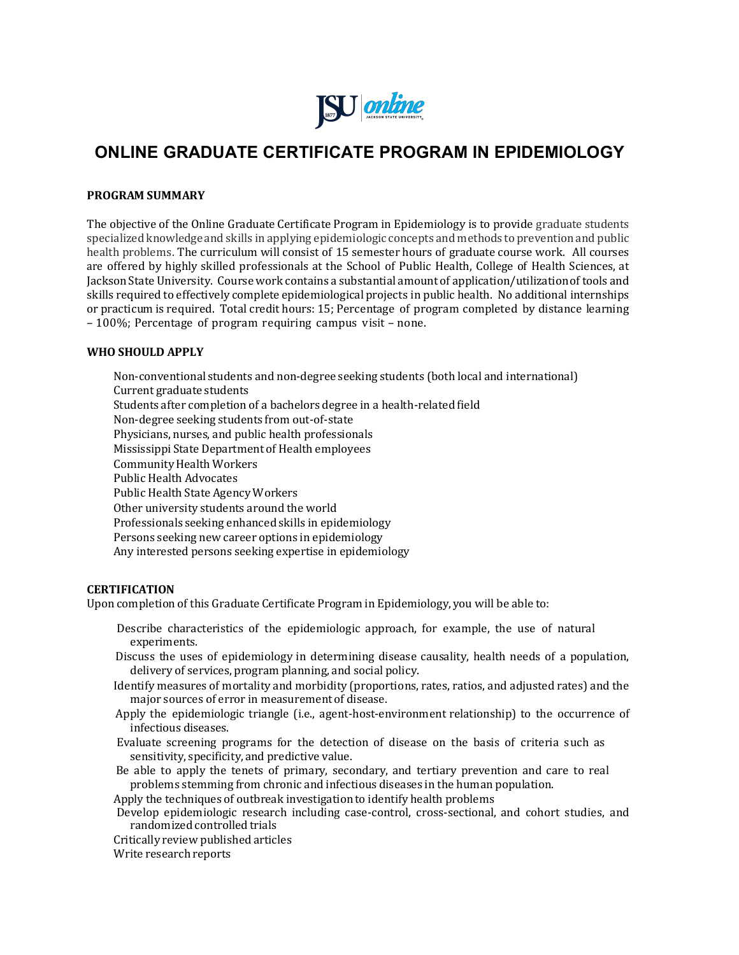

# **ONLINE GRADUATE CERTIFICATE PROGRAM IN EPIDEMIOLOGY**

## **PROGRAM SUMMARY**

The objective of the Online Graduate Certificate Program in Epidemiology is to provide graduate students specialized knowledge and skills in applying epidemiologic concepts and methods to prevention and public health problems. The curriculum will consist of 15 semester hours of graduate course work. All courses are offered by highly skilled professionals at the School of Public Health, College of Health Sciences, at Jackson State University. Course work contains a substantial amount of application/utilization of tools and skills required to effectively complete epidemiological projects in public health. No additional internships or practicum is required. Total credit hours: 15; Percentage of program completed by distance learning – 100%; Percentage of program requiring campus visit – none.

## **WHO SHOULD APPLY**

 Non-conventional students and non-degree seeking students (both local and international) Current graduate students Students after completion of a bachelors degree in a health-related field Non-degree seeking students from out-of-state Physicians, nurses, and public health professionals Mississippi State Department of Health employees Community Health Workers Public Health Advocates Public Health State AgencyWorkers Other university students around the world Professionals seeking enhanced skills in epidemiology Persons seeking new career options in epidemiology Any interested persons seeking expertise in epidemiology

#### **CERTIFICATION**

Upon completion of this Graduate Certificate Program in Epidemiology, you will be able to:

- Describe characteristics of the epidemiologic approach, for example, the use of natural experiments.
- Discuss the uses of epidemiology in determining disease causality, health needs of a population, delivery of services, program planning, and social policy.
- Identify measures of mortality and morbidity (proportions, rates, ratios, and adjusted rates) and the major sources of error in measurement of disease.
- Apply the epidemiologic triangle (i.e., agent-host-environment relationship) to the occurrence of infectious diseases.
- Evaluate screening programs for the detection of disease on the basis of criteria such as sensitivity, specificity, and predictive value.
- Be able to apply the tenets of primary, secondary, and tertiary prevention and care to real problems stemming from chronic and infectious diseases in the human population.

Apply the techniques of outbreak investigationto identify health problems

 Develop epidemiologic research including case-control, cross-sectional, and cohort studies, and randomized controlled trials

Critically review published articles

Write research reports